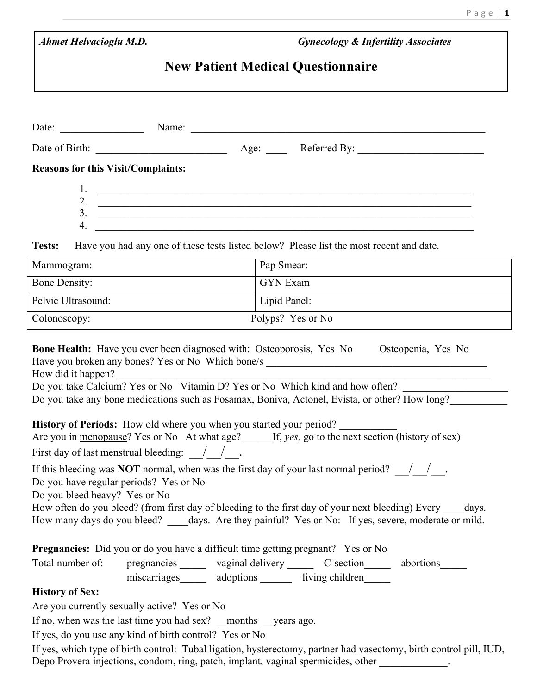| <b>Ahmet Helvacioglu M.D.</b>                                                                                                                  | <b>Gynecology &amp; Infertility Associates</b>                                                                                                                                                                                                                                                                                                                                                                                                                                                                                                                         |  |
|------------------------------------------------------------------------------------------------------------------------------------------------|------------------------------------------------------------------------------------------------------------------------------------------------------------------------------------------------------------------------------------------------------------------------------------------------------------------------------------------------------------------------------------------------------------------------------------------------------------------------------------------------------------------------------------------------------------------------|--|
| <b>New Patient Medical Questionnaire</b>                                                                                                       |                                                                                                                                                                                                                                                                                                                                                                                                                                                                                                                                                                        |  |
|                                                                                                                                                | Date: <u>Name:</u> Name: Name: Name: Name: Name: Name: Name: Name: Name: Name: Name: Name: Name: Name: Name: Name: Name: Name: Name: Name: Name: Name: Name: Name: Name: Name: Name: Name: Name: Name: Name: Name: Name: Name: Name                                                                                                                                                                                                                                                                                                                                    |  |
|                                                                                                                                                |                                                                                                                                                                                                                                                                                                                                                                                                                                                                                                                                                                        |  |
| <b>Reasons for this Visit/Complaints:</b>                                                                                                      |                                                                                                                                                                                                                                                                                                                                                                                                                                                                                                                                                                        |  |
| $\overline{4}$ .                                                                                                                               | 2. $\overline{\phantom{a}}$<br>$\overline{\phantom{a}}$                                                                                                                                                                                                                                                                                                                                                                                                                                                                                                                |  |
| Tests:                                                                                                                                         | Have you had any one of these tests listed below? Please list the most recent and date.                                                                                                                                                                                                                                                                                                                                                                                                                                                                                |  |
| Mammogram:                                                                                                                                     | Pap Smear:                                                                                                                                                                                                                                                                                                                                                                                                                                                                                                                                                             |  |
| <b>Bone Density:</b>                                                                                                                           | <b>GYN</b> Exam                                                                                                                                                                                                                                                                                                                                                                                                                                                                                                                                                        |  |
| Pelvic Ultrasound:                                                                                                                             | Lipid Panel:                                                                                                                                                                                                                                                                                                                                                                                                                                                                                                                                                           |  |
| Colonoscopy:                                                                                                                                   | Polyps? Yes or No                                                                                                                                                                                                                                                                                                                                                                                                                                                                                                                                                      |  |
|                                                                                                                                                | <b>Bone Health:</b> Have you ever been diagnosed with: Osteoporosis, Yes No Osteopenia, Yes No                                                                                                                                                                                                                                                                                                                                                                                                                                                                         |  |
| How did it happen?<br><b>History of Periods:</b> How old where you when you started your period?                                               |                                                                                                                                                                                                                                                                                                                                                                                                                                                                                                                                                                        |  |
|                                                                                                                                                | Are you in menopause? Yes or No At what age?<br>If, yes, go to the next section (history of sex)                                                                                                                                                                                                                                                                                                                                                                                                                                                                       |  |
| <u>First</u> day of <u>last</u> menstrual bleeding: $\frac{1}{1}$ .<br>Do you have regular periods? Yes or No<br>Do you bleed heavy? Yes or No | If this bleeding was <b>NOT</b> normal, when was the first day of your last normal period? $\sqrt{ }$ .                                                                                                                                                                                                                                                                                                                                                                                                                                                                |  |
| Total number of:                                                                                                                               | Have you broken any bones? Yes or No Which bone/s _______________________________<br>Do you take Calcium? Yes or No Vitamin D? Yes or No Which kind and how often?<br>Do you take any bone medications such as Fosamax, Boniva, Actonel, Evista, or other? How long?<br>How often do you bleed? (from first day of bleeding to the first day of your next bleeding) Every days.<br>How many days do you bleed? days. Are they painful? Yes or No: If yes, severe, moderate or mild.<br>pregnancies _______ vaginal delivery _______ C-section ______ abortions _______ |  |
| <b>Pregnancies:</b> Did you or do you have a difficult time getting pregnant? Yes or No<br><b>History of Sex:</b>                              | miscarriages adoptions iving children                                                                                                                                                                                                                                                                                                                                                                                                                                                                                                                                  |  |
| Are you currently sexually active? Yes or No                                                                                                   |                                                                                                                                                                                                                                                                                                                                                                                                                                                                                                                                                                        |  |
| If no, when was the last time you had sex? months years ago.<br>If yes, do you use any kind of birth control? Yes or No                        |                                                                                                                                                                                                                                                                                                                                                                                                                                                                                                                                                                        |  |

If yes, which type of birth control: Tubal ligation, hysterectomy, partner had vasectomy, birth control pill, IUD, Depo Provera injections, condom, ring, patch, implant, vaginal spermicides, other \_\_\_\_\_\_\_\_\_\_\_\_.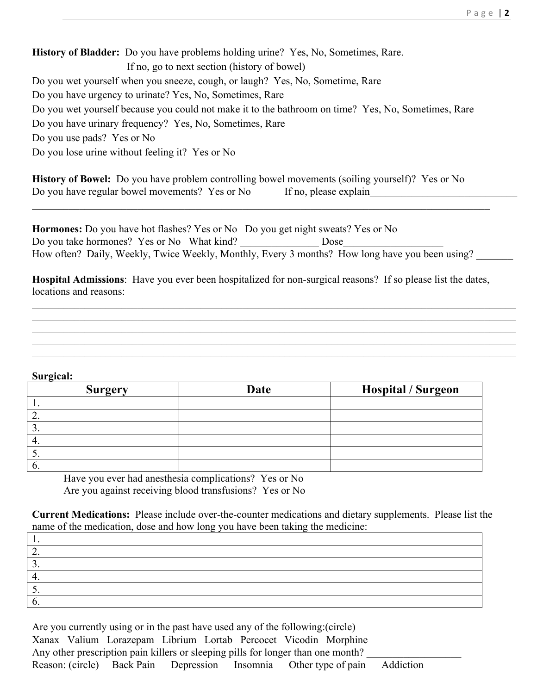**History of Bladder:** Do you have problems holding urine? Yes, No, Sometimes, Rare. If no, go to next section (history of bowel) Do you wet yourself when you sneeze, cough, or laugh? Yes, No, Sometime, Rare Do you have urgency to urinate? Yes, No, Sometimes, Rare Do you wet yourself because you could not make it to the bathroom on time? Yes, No, Sometimes, Rare Do you have urinary frequency? Yes, No, Sometimes, Rare Do you use pads? Yes or No Do you lose urine without feeling it? Yes or No

**History of Bowel:** Do you have problem controlling bowel movements (soiling yourself)? Yes or No Do you have regular bowel movements? Yes or No If no, please explain

**Hormones:** Do you have hot flashes? Yes or No Do you get night sweats? Yes or No Do you take hormones? Yes or No What kind? Dose How often? Daily, Weekly, Twice Weekly, Monthly, Every 3 months? How long have you been using?

 $\_$  , and the contribution of the contribution of the contribution of the contribution of  $\mathcal{L}_\text{max}$ 

**Hospital Admissions**: Have you ever been hospitalized for non-surgical reasons? If so please list the dates, locations and reasons:

 $\_$  , and the contribution of the contribution of the contribution of the contribution of  $\mathcal{L}_\text{max}$  $\mathcal{L}_\mathcal{L} = \mathcal{L}_\mathcal{L} = \mathcal{L}_\mathcal{L} = \mathcal{L}_\mathcal{L} = \mathcal{L}_\mathcal{L} = \mathcal{L}_\mathcal{L} = \mathcal{L}_\mathcal{L} = \mathcal{L}_\mathcal{L} = \mathcal{L}_\mathcal{L} = \mathcal{L}_\mathcal{L} = \mathcal{L}_\mathcal{L} = \mathcal{L}_\mathcal{L} = \mathcal{L}_\mathcal{L} = \mathcal{L}_\mathcal{L} = \mathcal{L}_\mathcal{L} = \mathcal{L}_\mathcal{L} = \mathcal{L}_\mathcal{L}$  $\mathcal{L}_\mathcal{L} = \mathcal{L}_\mathcal{L} = \mathcal{L}_\mathcal{L} = \mathcal{L}_\mathcal{L} = \mathcal{L}_\mathcal{L} = \mathcal{L}_\mathcal{L} = \mathcal{L}_\mathcal{L} = \mathcal{L}_\mathcal{L} = \mathcal{L}_\mathcal{L} = \mathcal{L}_\mathcal{L} = \mathcal{L}_\mathcal{L} = \mathcal{L}_\mathcal{L} = \mathcal{L}_\mathcal{L} = \mathcal{L}_\mathcal{L} = \mathcal{L}_\mathcal{L} = \mathcal{L}_\mathcal{L} = \mathcal{L}_\mathcal{L}$  $\_$  , and the contribution of the contribution of the contribution of the contribution of  $\mathcal{L}_\text{max}$  $\_$  , and the contribution of the contribution of the contribution of the contribution of  $\mathcal{L}_\text{max}$ 

## **Surgical:**

| $\overline{\phantom{a}}$<br><b>Surgery</b> | Date | <b>Hospital / Surgeon</b> |
|--------------------------------------------|------|---------------------------|
|                                            |      |                           |
| <u>_</u>                                   |      |                           |
|                                            |      |                           |
|                                            |      |                           |
|                                            |      |                           |
| O.                                         |      |                           |

Have you ever had anesthesia complications? Yes or No Are you against receiving blood transfusions? Yes or No

**Current Medications:** Please include over-the-counter medications and dietary supplements. Please list the name of the medication, dose and how long you have been taking the medicine:

| <u>.</u> |  |  |
|----------|--|--|
|          |  |  |
|          |  |  |
|          |  |  |
|          |  |  |
|          |  |  |

Are you currently using or in the past have used any of the following:(circle) Xanax Valium Lorazepam Librium Lortab Percocet Vicodin Morphine Any other prescription pain killers or sleeping pills for longer than one month? Reason: (circle) Back Pain Depression Insomnia Other type of pain Addiction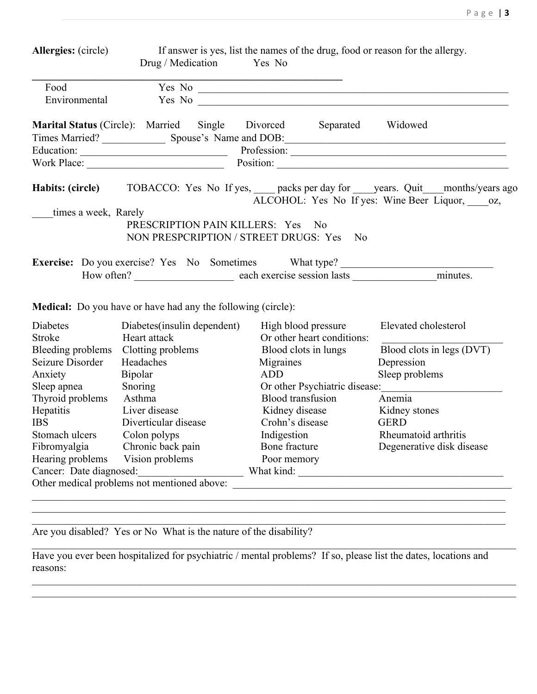|--|--|

|      | <b>Allergies:</b> (circle) |  |                                                         | If answer is yes, list the names of the drug, food or reason for the allergy.                                                                                                                                                       |                   |                                                                                                |
|------|----------------------------|--|---------------------------------------------------------|-------------------------------------------------------------------------------------------------------------------------------------------------------------------------------------------------------------------------------------|-------------------|------------------------------------------------------------------------------------------------|
|      |                            |  | Drug / Medication Yes No                                |                                                                                                                                                                                                                                     |                   |                                                                                                |
| Food |                            |  |                                                         |                                                                                                                                                                                                                                     |                   |                                                                                                |
|      | Environmental              |  |                                                         | Yes No <b>and the Community</b> Second Second Second Second Second Second Second Second Second Second Second Second Second Second Second Second Second Second Second Second Second Second Second Second Second Second Second Second |                   |                                                                                                |
|      |                            |  | <b>Marital Status</b> (Circle): Married Single Divorced |                                                                                                                                                                                                                                     | Separated Widowed |                                                                                                |
|      |                            |  |                                                         |                                                                                                                                                                                                                                     |                   |                                                                                                |
|      |                            |  |                                                         |                                                                                                                                                                                                                                     |                   |                                                                                                |
|      | Work Place:                |  |                                                         | Position:                                                                                                                                                                                                                           |                   |                                                                                                |
|      |                            |  |                                                         | ALCOHOL: Yes No If yes: Wine Beer Liquor, oz,                                                                                                                                                                                       |                   | <b>Habits: (circle)</b> TOBACCO: Yes No If yes, packs per day for years. Quit months/years ago |
|      | times a week, Rarely       |  |                                                         |                                                                                                                                                                                                                                     |                   |                                                                                                |
|      |                            |  | PRESCRIPTION PAIN KILLERS: Yes No                       | NON PRESPCRIPTION / STREET DRUGS: Yes No                                                                                                                                                                                            |                   |                                                                                                |
|      |                            |  |                                                         | Exercise: Do you exercise? Yes No Sometimes What type?                                                                                                                                                                              |                   |                                                                                                |
|      |                            |  |                                                         |                                                                                                                                                                                                                                     |                   |                                                                                                |
|      |                            |  |                                                         |                                                                                                                                                                                                                                     |                   |                                                                                                |

**Medical:** Do you have or have had any the following (circle):

| Diabetes                                    | Diabetes(insulin dependent) | High blood pressure           | Elevated cholesterol      |
|---------------------------------------------|-----------------------------|-------------------------------|---------------------------|
| Stroke                                      | Heart attack                | Or other heart conditions:    |                           |
| Bleeding problems                           | Clotting problems           | Blood clots in lungs          | Blood clots in legs (DVT) |
| Seizure Disorder                            | Headaches                   | Migraines                     | Depression                |
| Anxiety                                     | <b>Bipolar</b>              | ADD                           | Sleep problems            |
| Sleep apnea                                 | Snoring                     | Or other Psychiatric disease: |                           |
| Thyroid problems                            | Asthma                      | <b>Blood transfusion</b>      | Anemia                    |
| <b>Hepatitis</b>                            | Liver disease               | Kidney disease                | Kidney stones             |
| <b>IBS</b>                                  | Diverticular disease        | Crohn's disease               | <b>GERD</b>               |
| Stomach ulcers                              | Colon polyps                | Indigestion                   | Rheumatoid arthritis      |
| Fibromyalgia                                | Chronic back pain           | Bone fracture                 | Degenerative disk disease |
| Hearing problems                            | Vision problems             | Poor memory                   |                           |
| Cancer: Date diagnosed:                     |                             | What kind:                    |                           |
| Other medical problems not mentioned above: |                             |                               |                           |
|                                             |                             |                               |                           |

Are you disabled? Yes or No What is the nature of the disability?

Have you ever been hospitalized for psychiatric / mental problems? If so, please list the dates, locations and reasons:

 $\_$  , and the contribution of the contribution of the contribution of the contribution of the contribution of  $\mathcal{L}_\text{max}$  $\mathcal{L}_\mathcal{L} = \mathcal{L}_\mathcal{L} = \mathcal{L}_\mathcal{L} = \mathcal{L}_\mathcal{L} = \mathcal{L}_\mathcal{L} = \mathcal{L}_\mathcal{L} = \mathcal{L}_\mathcal{L} = \mathcal{L}_\mathcal{L} = \mathcal{L}_\mathcal{L} = \mathcal{L}_\mathcal{L} = \mathcal{L}_\mathcal{L} = \mathcal{L}_\mathcal{L} = \mathcal{L}_\mathcal{L} = \mathcal{L}_\mathcal{L} = \mathcal{L}_\mathcal{L} = \mathcal{L}_\mathcal{L} = \mathcal{L}_\mathcal{L}$ 

 $\_$  , and the contribution of the contribution of the contribution of the contribution of  $\mathcal{L}_\text{max}$ 

 $\_$  , and the contribution of the contribution of the contribution of the contribution of  $\mathcal{L}_\text{max}$  $\_$  , and the contribution of the contribution of the contribution of the contribution of  $\mathcal{L}_\text{max}$